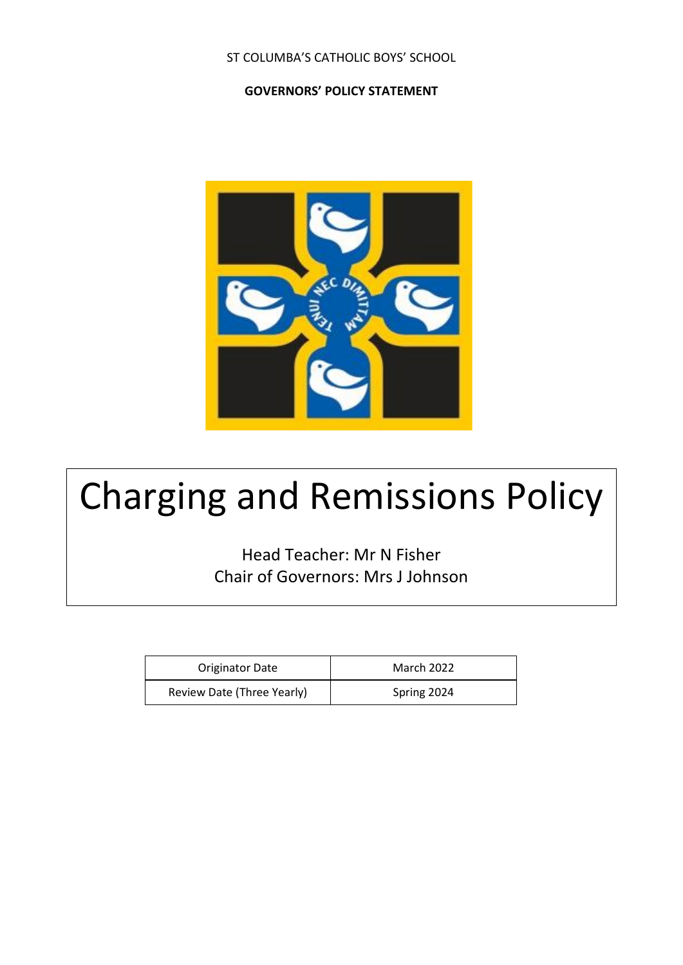#### ST COLUMBA'S CATHOLIC BOYS' SCHOOL

#### **GOVERNORS' POLICY STATEMENT**



# Charging and Remissions Policy

Head Teacher: Mr N Fisher Chair of Governors: Mrs J Johnson

| <b>Originator Date</b>     | <b>March 2022</b> |
|----------------------------|-------------------|
| Review Date (Three Yearly) | Spring 2024       |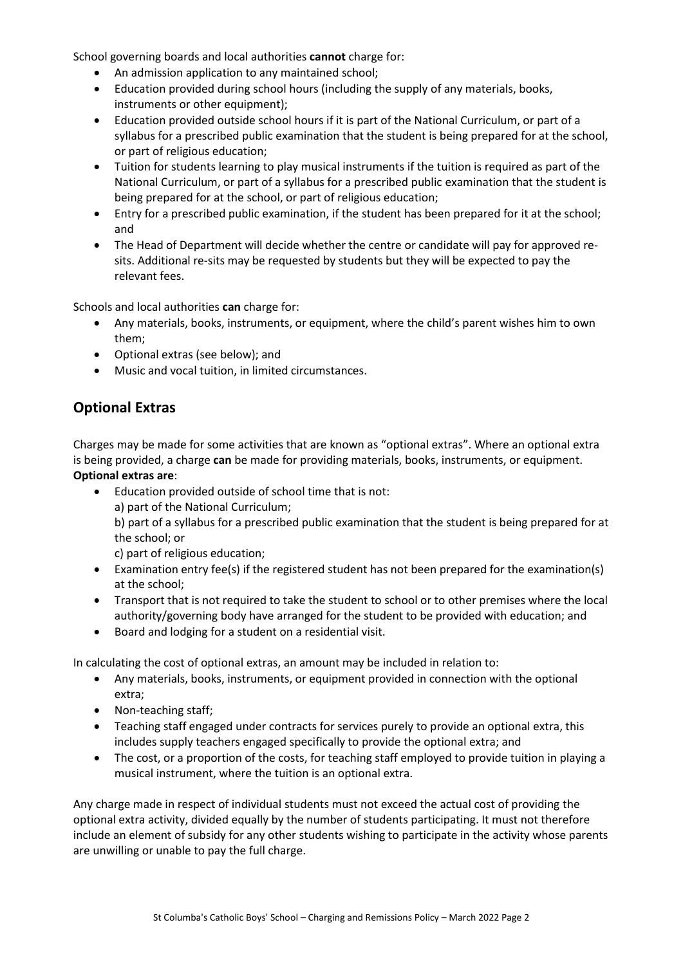School governing boards and local authorities **cannot** charge for:

- An admission application to any maintained school;
- Education provided during school hours (including the supply of any materials, books, instruments or other equipment);
- Education provided outside school hours if it is part of the National Curriculum, or part of a syllabus for a prescribed public examination that the student is being prepared for at the school, or part of religious education;
- Tuition for students learning to play musical instruments if the tuition is required as part of the National Curriculum, or part of a syllabus for a prescribed public examination that the student is being prepared for at the school, or part of religious education;
- Entry for a prescribed public examination, if the student has been prepared for it at the school; and
- The Head of Department will decide whether the centre or candidate will pay for approved resits. Additional re-sits may be requested by students but they will be expected to pay the relevant fees.

Schools and local authorities **can** charge for:

- Any materials, books, instruments, or equipment, where the child's parent wishes him to own them;
- Optional extras (see below); and
- Music and vocal tuition, in limited circumstances.

## **Optional Extras**

Charges may be made for some activities that are known as "optional extras". Where an optional extra is being provided, a charge **can** be made for providing materials, books, instruments, or equipment. **Optional extras are**:

- Education provided outside of school time that is not: a) part of the National Curriculum; b) part of a syllabus for a prescribed public examination that the student is being prepared for at the school; or c) part of religious education;
- Examination entry fee(s) if the registered student has not been prepared for the examination(s) at the school;
- Transport that is not required to take the student to school or to other premises where the local authority/governing body have arranged for the student to be provided with education; and
- Board and lodging for a student on a residential visit.

In calculating the cost of optional extras, an amount may be included in relation to:

- Any materials, books, instruments, or equipment provided in connection with the optional extra;
- Non-teaching staff;
- Teaching staff engaged under contracts for services purely to provide an optional extra, this includes supply teachers engaged specifically to provide the optional extra; and
- The cost, or a proportion of the costs, for teaching staff employed to provide tuition in playing a musical instrument, where the tuition is an optional extra.

Any charge made in respect of individual students must not exceed the actual cost of providing the optional extra activity, divided equally by the number of students participating. It must not therefore include an element of subsidy for any other students wishing to participate in the activity whose parents are unwilling or unable to pay the full charge.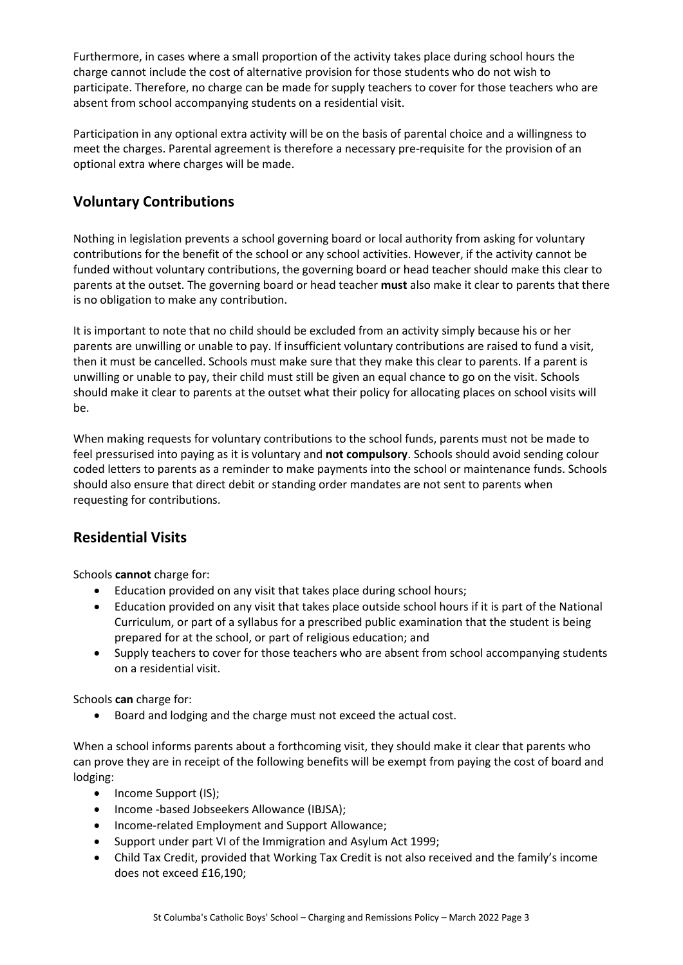Furthermore, in cases where a small proportion of the activity takes place during school hours the charge cannot include the cost of alternative provision for those students who do not wish to participate. Therefore, no charge can be made for supply teachers to cover for those teachers who are absent from school accompanying students on a residential visit.

Participation in any optional extra activity will be on the basis of parental choice and a willingness to meet the charges. Parental agreement is therefore a necessary pre-requisite for the provision of an optional extra where charges will be made.

# **Voluntary Contributions**

Nothing in legislation prevents a school governing board or local authority from asking for voluntary contributions for the benefit of the school or any school activities. However, if the activity cannot be funded without voluntary contributions, the governing board or head teacher should make this clear to parents at the outset. The governing board or head teacher **must** also make it clear to parents that there is no obligation to make any contribution.

It is important to note that no child should be excluded from an activity simply because his or her parents are unwilling or unable to pay. If insufficient voluntary contributions are raised to fund a visit, then it must be cancelled. Schools must make sure that they make this clear to parents. If a parent is unwilling or unable to pay, their child must still be given an equal chance to go on the visit. Schools should make it clear to parents at the outset what their policy for allocating places on school visits will be.

When making requests for voluntary contributions to the school funds, parents must not be made to feel pressurised into paying as it is voluntary and **not compulsory**. Schools should avoid sending colour coded letters to parents as a reminder to make payments into the school or maintenance funds. Schools should also ensure that direct debit or standing order mandates are not sent to parents when requesting for contributions.

## **Residential Visits**

Schools **cannot** charge for:

- Education provided on any visit that takes place during school hours;
- Education provided on any visit that takes place outside school hours if it is part of the National Curriculum, or part of a syllabus for a prescribed public examination that the student is being prepared for at the school, or part of religious education; and
- Supply teachers to cover for those teachers who are absent from school accompanying students on a residential visit.

Schools **can** charge for:

• Board and lodging and the charge must not exceed the actual cost.

When a school informs parents about a forthcoming visit, they should make it clear that parents who can prove they are in receipt of the following benefits will be exempt from paying the cost of board and lodging:

- Income Support (IS);
- Income -based Jobseekers Allowance (IBJSA);
- Income-related Employment and Support Allowance;
- Support under part VI of the Immigration and Asylum Act 1999;
- Child Tax Credit, provided that Working Tax Credit is not also received and the family's income does not exceed £16,190;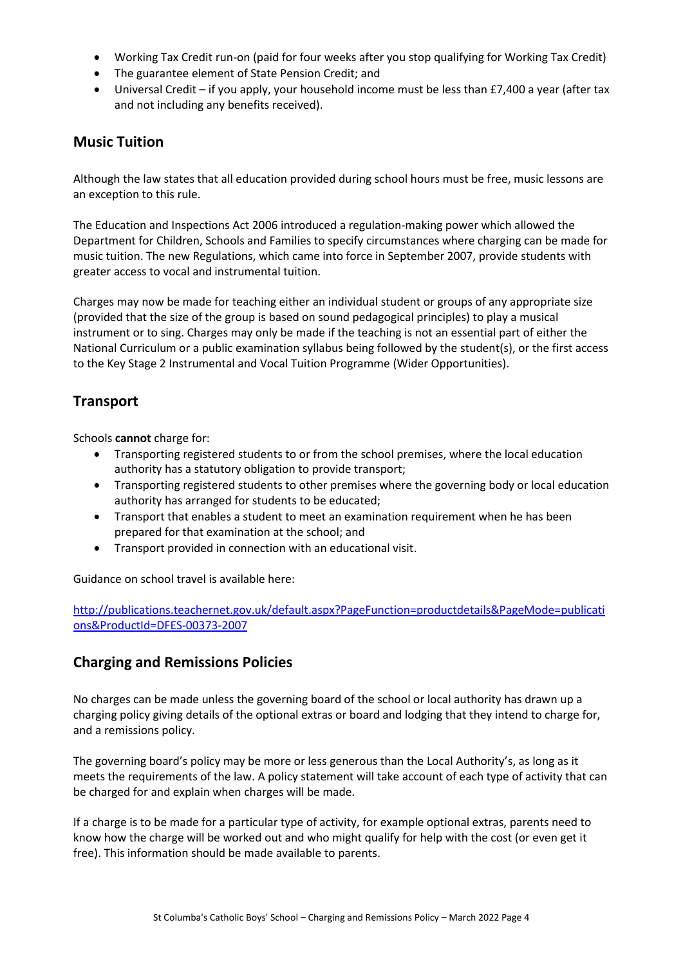- Working Tax Credit run-on (paid for four weeks after you stop qualifying for Working Tax Credit)
- The guarantee element of State Pension Credit; and
- Universal Credit if you apply, your household income must be less than £7,400 a year (after tax and not including any benefits received).

#### **Music Tuition**

Although the law states that all education provided during school hours must be free, music lessons are an exception to this rule.

The Education and Inspections Act 2006 introduced a regulation-making power which allowed the Department for Children, Schools and Families to specify circumstances where charging can be made for music tuition. The new Regulations, which came into force in September 2007, provide students with greater access to vocal and instrumental tuition.

Charges may now be made for teaching either an individual student or groups of any appropriate size (provided that the size of the group is based on sound pedagogical principles) to play a musical instrument or to sing. Charges may only be made if the teaching is not an essential part of either the National Curriculum or a public examination syllabus being followed by the student(s), or the first access to the Key Stage 2 Instrumental and Vocal Tuition Programme (Wider Opportunities).

## **Transport**

Schools **cannot** charge for:

- Transporting registered students to or from the school premises, where the local education authority has a statutory obligation to provide transport;
- Transporting registered students to other premises where the governing body or local education authority has arranged for students to be educated;
- Transport that enables a student to meet an examination requirement when he has been prepared for that examination at the school; and
- Transport provided in connection with an educational visit.

Guidance on school travel is available here:

[http://publications.teachernet.gov.uk/default.aspx?PageFunction=productdetails&PageMode=publicati](http://publications.teachernet.gov.uk/default.aspx?PageFunction=productdetails&PageMode=publications&ProductId=DFES-00373-2007) [ons&ProductId=DFES-00373-2007](http://publications.teachernet.gov.uk/default.aspx?PageFunction=productdetails&PageMode=publications&ProductId=DFES-00373-2007)

#### **Charging and Remissions Policies**

No charges can be made unless the governing board of the school or local authority has drawn up a charging policy giving details of the optional extras or board and lodging that they intend to charge for, and a remissions policy.

The governing board's policy may be more or less generous than the Local Authority's, as long as it meets the requirements of the law. A policy statement will take account of each type of activity that can be charged for and explain when charges will be made.

If a charge is to be made for a particular type of activity, for example optional extras, parents need to know how the charge will be worked out and who might qualify for help with the cost (or even get it free). This information should be made available to parents.